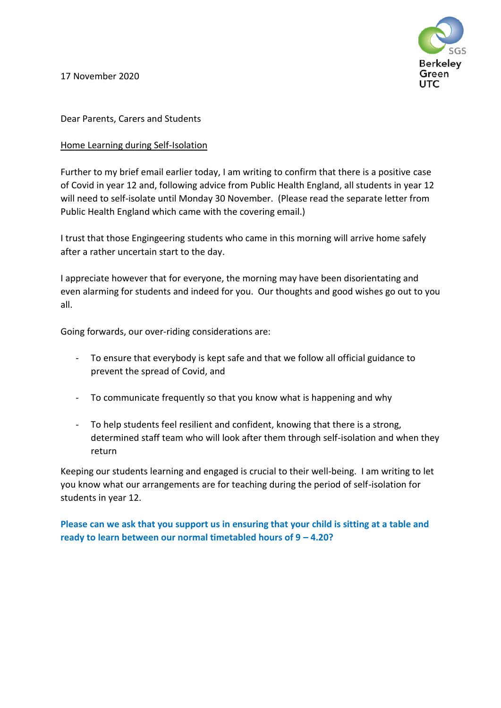Berkelev Green UTC.

17 November 2020

## Dear Parents, Carers and Students

## Home Learning during Self-Isolation

Further to my brief email earlier today, I am writing to confirm that there is a positive case of Covid in year 12 and, following advice from Public Health England, all students in year 12 will need to self-isolate until Monday 30 November. (Please read the separate letter from Public Health England which came with the covering email.)

I trust that those Engingeering students who came in this morning will arrive home safely after a rather uncertain start to the day.

I appreciate however that for everyone, the morning may have been disorientating and even alarming for students and indeed for you. Our thoughts and good wishes go out to you all.

Going forwards, our over-riding considerations are:

- To ensure that everybody is kept safe and that we follow all official guidance to prevent the spread of Covid, and
- To communicate frequently so that you know what is happening and why
- To help students feel resilient and confident, knowing that there is a strong, determined staff team who will look after them through self-isolation and when they return

Keeping our students learning and engaged is crucial to their well-being. I am writing to let you know what our arrangements are for teaching during the period of self-isolation for students in year 12.

**Please can we ask that you support us in ensuring that your child is sitting at a table and ready to learn between our normal timetabled hours of 9 – 4.20?**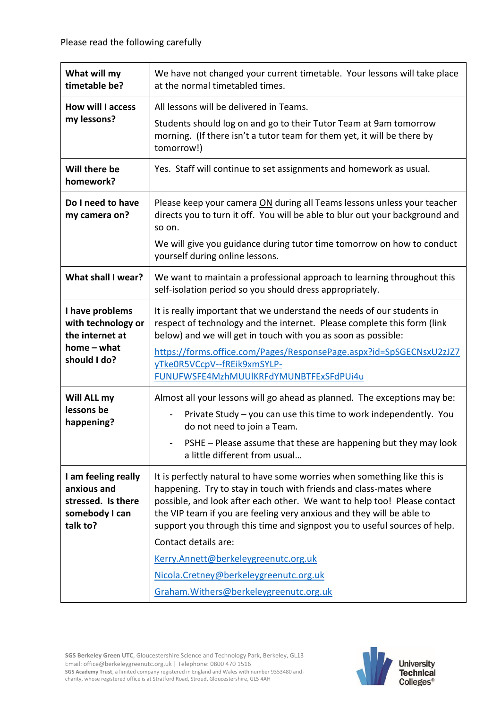| What will my<br>timetable be?                                                           | We have not changed your current timetable. Your lessons will take place<br>at the normal timetabled times.                                                                                                                                                                                                                                                                                                                                                                                |
|-----------------------------------------------------------------------------------------|--------------------------------------------------------------------------------------------------------------------------------------------------------------------------------------------------------------------------------------------------------------------------------------------------------------------------------------------------------------------------------------------------------------------------------------------------------------------------------------------|
| <b>How will I access</b><br>my lessons?                                                 | All lessons will be delivered in Teams.                                                                                                                                                                                                                                                                                                                                                                                                                                                    |
|                                                                                         | Students should log on and go to their Tutor Team at 9am tomorrow<br>morning. (If there isn't a tutor team for them yet, it will be there by<br>tomorrow!)                                                                                                                                                                                                                                                                                                                                 |
| Will there be<br>homework?                                                              | Yes. Staff will continue to set assignments and homework as usual.                                                                                                                                                                                                                                                                                                                                                                                                                         |
| Do I need to have<br>my camera on?                                                      | Please keep your camera ON during all Teams lessons unless your teacher<br>directs you to turn it off. You will be able to blur out your background and<br>so on.                                                                                                                                                                                                                                                                                                                          |
|                                                                                         | We will give you guidance during tutor time tomorrow on how to conduct<br>yourself during online lessons.                                                                                                                                                                                                                                                                                                                                                                                  |
| What shall I wear?                                                                      | We want to maintain a professional approach to learning throughout this<br>self-isolation period so you should dress appropriately.                                                                                                                                                                                                                                                                                                                                                        |
| I have problems<br>with technology or<br>the internet at<br>home - what<br>should I do? | It is really important that we understand the needs of our students in<br>respect of technology and the internet. Please complete this form (link<br>below) and we will get in touch with you as soon as possible:<br>https://forms.office.com/Pages/ResponsePage.aspx?id=SpSGECNsxU2zJZ7<br>yTke0R5VCcpV--fREik9xmSYLP-<br>FUNUFWSFE4MzhMUUlKRFdYMUNBTFExSFdPUi4u                                                                                                                         |
|                                                                                         |                                                                                                                                                                                                                                                                                                                                                                                                                                                                                            |
| Will ALL my<br>lessons be<br>happening?                                                 | Almost all your lessons will go ahead as planned. The exceptions may be:<br>Private Study - you can use this time to work independently. You<br>do not need to join a Team.<br>PSHE - Please assume that these are happening but they may look<br>a little different from usual                                                                                                                                                                                                            |
| I am feeling really<br>anxious and<br>stressed. Is there<br>somebody I can<br>talk to?  | It is perfectly natural to have some worries when something like this is<br>happening. Try to stay in touch with friends and class-mates where<br>possible, and look after each other. We want to help too! Please contact<br>the VIP team if you are feeling very anxious and they will be able to<br>support you through this time and signpost you to useful sources of help.<br>Contact details are:<br>Kerry.Annett@berkeleygreenutc.org.uk<br>Nicola.Cretney@berkeleygreenutc.org.uk |
|                                                                                         | Graham. Withers@berkeleygreenutc.org.uk                                                                                                                                                                                                                                                                                                                                                                                                                                                    |